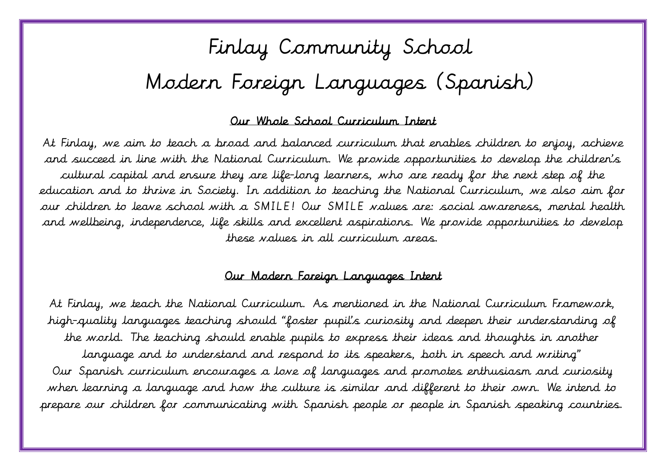# Finlay Community School Modern Foreign Languages (Spanish)

#### $\overline{\phantom{a}}$ Our Whole School Curriculum Intent

 At Finlay, we aim to teach a broad and balanced curriculum that enables children to enjoy, achieve and succeed in line with the National Curriculum. We provide opportunities to develop the children's cultural capital and ensure they are life-long learners, who are ready for the next step of the education and to thrive in Society. In addition to teaching the National Curriculum, we also aim for our children to leave school with a SMILE! Our SMILE values are: social awareness, mental health and wellbeing, independence, life skills and excellent aspirations. We provide opportunities to develop these values in all curriculum areas.

#### $\overline{1}$ Our Modern Foreign Languages Intent

 At Finlay, we teach the National Curriculum. As mentioned in the National Curriculum Framework, high-quality languages teaching should "foster pupil's curiosity and deepen their understanding of the world. The teaching should enable pupils to express their ideas and thoughts in another language and to understand and respond to its speakers, both in speech and writing"  $\overline{a}$  $\overline{\phantom{a}}$ j. Ĩ, Our Spanish curriculum encourages a love of languages and promotes enthusiasm and curiosity when learning a language and how the culture is similar and different to their own. We intend to prepare our children for communicating with Spanish people or people in Spanish speaking countries.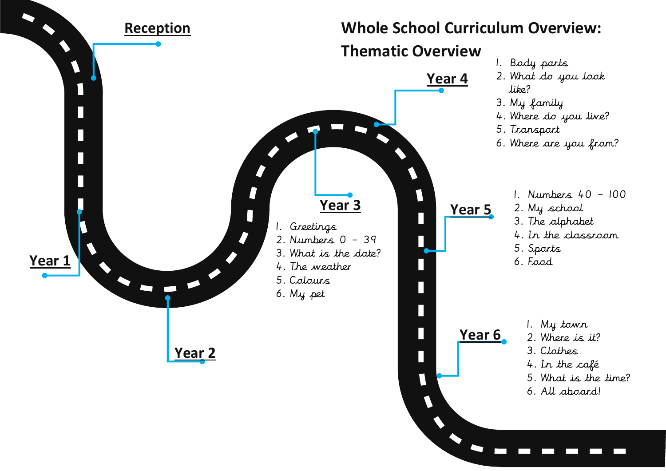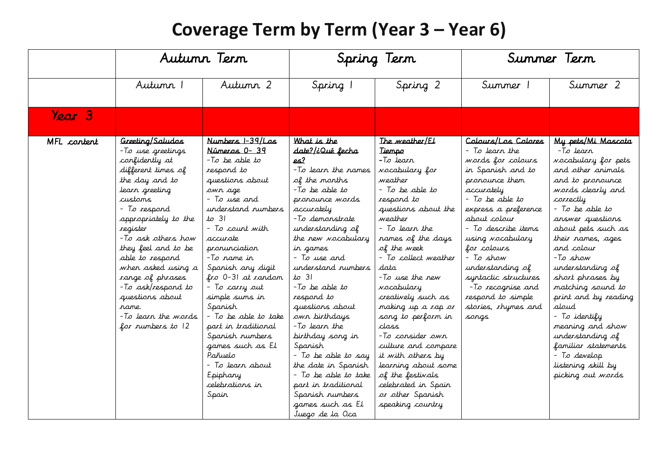#### **Coverage Term by Term (Year 3 – Year 6)**

|             | Autunn Tern                                                                                                                                                                                                                                                                                                                                                                              |                                                                                                                                                                                                                                                                                                                                                                                                                                                                       | Spring Term                                                                                                                                                                                                                                                                                                                                                                                                                                                                                                                                          |                                                                                                                                                                                                                                                                                                                                                                                                                                                                                                                                          | Summer Term                                                                                                                                                                                                                                                                                                                                                             |                                                                                                                                                                                                                                                                                                                                                                                                                                                                                        |
|-------------|------------------------------------------------------------------------------------------------------------------------------------------------------------------------------------------------------------------------------------------------------------------------------------------------------------------------------------------------------------------------------------------|-----------------------------------------------------------------------------------------------------------------------------------------------------------------------------------------------------------------------------------------------------------------------------------------------------------------------------------------------------------------------------------------------------------------------------------------------------------------------|------------------------------------------------------------------------------------------------------------------------------------------------------------------------------------------------------------------------------------------------------------------------------------------------------------------------------------------------------------------------------------------------------------------------------------------------------------------------------------------------------------------------------------------------------|------------------------------------------------------------------------------------------------------------------------------------------------------------------------------------------------------------------------------------------------------------------------------------------------------------------------------------------------------------------------------------------------------------------------------------------------------------------------------------------------------------------------------------------|-------------------------------------------------------------------------------------------------------------------------------------------------------------------------------------------------------------------------------------------------------------------------------------------------------------------------------------------------------------------------|----------------------------------------------------------------------------------------------------------------------------------------------------------------------------------------------------------------------------------------------------------------------------------------------------------------------------------------------------------------------------------------------------------------------------------------------------------------------------------------|
|             | Autunn 1                                                                                                                                                                                                                                                                                                                                                                                 | Autumn 2                                                                                                                                                                                                                                                                                                                                                                                                                                                              | Spring 1                                                                                                                                                                                                                                                                                                                                                                                                                                                                                                                                             | Spring 2                                                                                                                                                                                                                                                                                                                                                                                                                                                                                                                                 | Summer 1                                                                                                                                                                                                                                                                                                                                                                | Summer 2                                                                                                                                                                                                                                                                                                                                                                                                                                                                               |
| Year 3      |                                                                                                                                                                                                                                                                                                                                                                                          |                                                                                                                                                                                                                                                                                                                                                                                                                                                                       |                                                                                                                                                                                                                                                                                                                                                                                                                                                                                                                                                      |                                                                                                                                                                                                                                                                                                                                                                                                                                                                                                                                          |                                                                                                                                                                                                                                                                                                                                                                         |                                                                                                                                                                                                                                                                                                                                                                                                                                                                                        |
| MFL content | Greeting/Saludos<br>-To use greetings<br>confidently at<br>different times of<br>the day and to<br>learn greeting<br>custams<br>- To respond<br>appropriately to the<br>register<br>-To ask others how<br>they feel and to be<br>able to respond<br>when asked using a<br>range of phrases<br>-To ask/respond to<br>questions about<br>rame.<br>-To learn the words<br>for numbers to 12 | Numbers 1-39/Los<br>Números 0-39<br>-To be able to<br>respond to<br>questions about<br>owr age<br>- To use and<br>understand numbers<br>$to$ 31<br>- To count with<br>accurate<br>pronunciation<br>-To rame in<br>Spanish any digit<br>fro 0-31 at random<br>- To carry out<br>simple sums in<br>Spanish<br>- To be able to take<br>part in traditional<br>Spanish numbers<br>games such as El<br>Pañuelo<br>- To learr about<br>Epiphany<br>celebrations in<br>Spain | What is the<br><u>date?/¿Qué fecha</u><br><u>es?</u><br>-To learn the names<br>of the months<br>-To be able to<br>pronounce words<br>accurately<br>-To demonstrate<br>understanding of<br>the new vocabulary<br>in games<br>- To use and<br>understand numbers<br>$to$ 31<br>-To be able to<br>respond to<br>questions about<br>own birthdays<br>-To learn the<br>birthday song in<br>Spanish<br>- To be able to say<br>the date in Spanish<br>- To be able to take<br>part in traditional<br>Spanish numbers<br>games such as El<br>Juego de la Oca | The <i>weather</i> /El<br>Tiempo<br>-To Jearr<br><i>vocabulary</i> for<br>weather<br>- To be able to<br>respond to<br>questions about the<br>weather<br>- To learr the<br>names of the days<br>of the week<br>- To collect weather<br>data<br>-To use the new<br><i>voc</i> abulary<br>creatively such as<br>making up a rap or<br>song to perform in<br>class<br>-To consider own<br>culture and compare<br>it with others by<br>learning about some<br>of the festivals<br>celebrated in Spain<br>or other Spanish<br>speaking country | Calaurs/Las Calares<br>- To learr the<br>words for colours<br>in Spanish and to<br>pronounce them<br>accurately<br>- To be able to<br>express a preference<br>about colour<br>- To describe items<br>using vocabulary<br>for colours<br>– To show<br>understanding of<br>syntactic structures<br>-To recognise and<br>respond to simple<br>stories, rhymes and<br>sangs | My pets/Mi Mascota<br>-To learr<br>vocabulary for pets<br>and other animals<br>and to pronounce<br>words clearly and<br>correctly<br>- To be able to<br>answer questions<br>about pets such as<br>their names, ages<br>and colour<br>-To show<br>understanding of<br>short phrases by<br>matching sound to<br>print and by reading<br>aloud<br>- To identify<br>meaning and show<br>understanding of<br>familiar statements<br>- To develop<br>listening skill by<br>picking out words |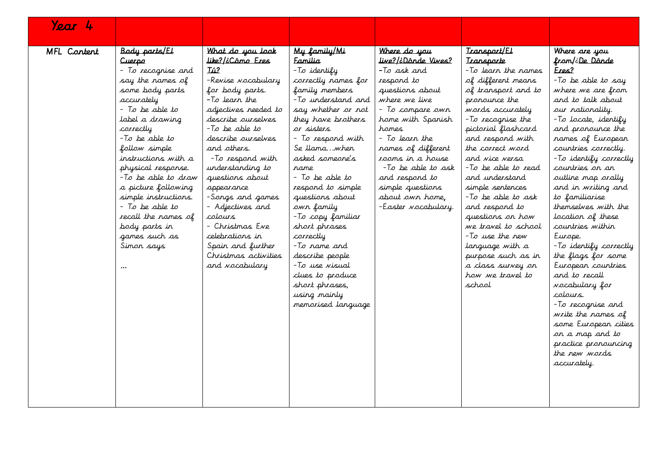| Year 4      |                                                                                                                                                                                                                                                                                                                                                                                                                  |                                                                                                                                                                                                                                                                                                                                                                                                                                                |                                                                                                                                                                                                                                                                                                                                                                                                                                                                                                      |                                                                                                                                                                                                                                                                                                                                         |                                                                                                                                                                                                                                                                                                                                                                                                                                                                                                          |                                                                                                                                                                                                                                                                                                                                                                                                                                                                                                                                                                                                                                                                                         |
|-------------|------------------------------------------------------------------------------------------------------------------------------------------------------------------------------------------------------------------------------------------------------------------------------------------------------------------------------------------------------------------------------------------------------------------|------------------------------------------------------------------------------------------------------------------------------------------------------------------------------------------------------------------------------------------------------------------------------------------------------------------------------------------------------------------------------------------------------------------------------------------------|------------------------------------------------------------------------------------------------------------------------------------------------------------------------------------------------------------------------------------------------------------------------------------------------------------------------------------------------------------------------------------------------------------------------------------------------------------------------------------------------------|-----------------------------------------------------------------------------------------------------------------------------------------------------------------------------------------------------------------------------------------------------------------------------------------------------------------------------------------|----------------------------------------------------------------------------------------------------------------------------------------------------------------------------------------------------------------------------------------------------------------------------------------------------------------------------------------------------------------------------------------------------------------------------------------------------------------------------------------------------------|-----------------------------------------------------------------------------------------------------------------------------------------------------------------------------------------------------------------------------------------------------------------------------------------------------------------------------------------------------------------------------------------------------------------------------------------------------------------------------------------------------------------------------------------------------------------------------------------------------------------------------------------------------------------------------------------|
| MFL Content | Body parts/El<br><u>Cuerpo</u><br>- To recognise and<br>say the rames of<br>some body parts<br>accurately<br>- To be able to<br>label a drawing<br>correctly<br>-To be able to<br>follow simple<br>instructions with a<br>physical response.<br>-To be able to draw<br>a picture following<br>simple instructions.<br>- To be able to<br>recall the names of<br>body parts in<br>games such as<br>Simon says<br> | What do you look<br>Like?/¿Cómo Eres<br>Tú?<br>-Revise vocabulary<br>for body parts.<br>-To learn the<br>adjectives needed to<br>describe ourselves<br>$-T$ o be able to<br>describe aurselves<br>and others.<br>-To respond with<br>understanding to<br>questions about<br>appearance<br>-Songs and games<br>- Adjectives and<br>colours<br>– Christmas Eve<br>celebrations in<br>Spain and further<br>Christmas activities<br>and vocabulary | My family/Mi<br><b>Familia</b><br>-To identify<br>correctly names for<br>family members<br>-To understand and<br>say whether or not<br>they have brothers<br>ar sisters<br>- To respond with<br>Se Ilamawhen<br>asked someone's<br>rame<br>- To be able to<br>respond to simple<br>questions about<br>own family<br>-To copy familiar<br>short phrases<br>correctly<br>-To rame and<br>describe people<br>-To use visual<br>clues to produce<br>short phrases,<br>using mainly<br>memorised language | Where do you<br><u>live?/¿Dánde Vives?</u><br>-To ask and<br>respond to<br>questions about<br>where we live<br>- To compare own<br>home with Spanish<br>hames<br>- To Jearr the<br>names of different<br>rooms in a house<br>-To be able to ask<br>and respond to<br>simple questions<br>about own home,<br>-Easter <i>Nocabulary</i> . | Transport/El<br>Transporte<br>-To learn the names<br>of different means<br>of transport and to<br>pronounce the<br>words accurately<br>-To recognise the<br>pictorial flashcard<br>and respond with<br>the correct word<br>and vice versa<br>-To be able to read<br>and understand<br>simple sentences<br>-To be able to ask<br>and respond to<br>questions on how<br>we travel to school<br>-To use the new<br>language with a<br>purpose such as in<br>a class survey on<br>how we travel to<br>school | Where are you<br>fram/¿ <u>De Dánde</u><br>Eres?<br>-To be able to say<br>where we are from<br>and to talk about<br>our nationality.<br>-To locate, identify<br>and pronounce the<br>names of European<br>countries correctly.<br>-To identify correctly<br>countries on an<br>outline map orally<br>and in writing and<br>to familiarise<br>themselves with the<br>location of these<br>countries within<br>Europe.<br>-To identify correctly<br>the flags for some<br>European countries<br>and to recall<br>vocabulary for<br>colours.<br>-To recognise and<br>write the names of<br>some European cities<br>or a map and to<br>practice pronouncing<br>the new words<br>accurately. |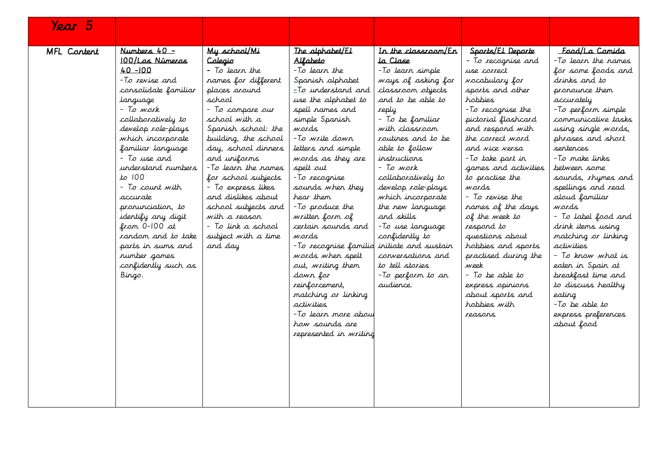| Year 5      |                         |                      |                        |                      |                       |                     |
|-------------|-------------------------|----------------------|------------------------|----------------------|-----------------------|---------------------|
|             |                         |                      |                        |                      |                       |                     |
| MFL Content | Numbers $40 -$          | My school/Mi         | The alphabet/El        | In the classroom/En  | Sports/El Deporte     | Food/La Comida      |
|             | <u> 100/Los Números</u> | Colegio              | Alfabeto               | ta Clase             | - To recognise and    | -To learn the names |
|             | $40 - 100$              | $-$ To learn the     | -To learn the          | -To learn simple     | use correct           | for some foods and  |
|             | -To revise and          | names for different  | Spanish alphabet       | ways of asking for   | <i>vocabulary</i> for | drinks and to       |
|             | consolidate familiar    | places around        | $=$ To understand and  | classroom objects    | sports and other      | pronounce them      |
|             | language                | school               | use the alphabet to    | and to be able to    | hobbies               | accurately          |
|             | – To work               | - To compare our     | spell names and        | reply                | -To recognise the     | -To perform simple  |
|             | collaboratively to      | school with a        | simple Spanish         | - To be familiar     | pictorial flashcard   | communicative tasks |
|             | develop role-plays      | Spanish school: the  | wards                  | with classroom       | and respond with      | using single words, |
|             | which incorporate       | building, the school | -To write down         | routines and to be   | the correct word      | phrases and short   |
|             | familiar language       | day, school dinners  | letters and simple     | able to follow       | and vice versa        | sentences.          |
|             | - To use and            | and uniforms         | words as they are      | instructions         | -To take part in      | -To make links      |
|             | understand numbers      | -To learn the names  | spelt out              | - To work            | games and activities  | between some        |
|             | $to$ $100$              | for school subjects  | -To recognise          | collaboratively to   | to practise the       | sounds, rhymes and  |
|             | - To count with         | - To express likes   | sounds when they       | develop role-plays   | wards                 | spellings and read  |
|             | accurate                | and dislikes about   | hear them              | which incorporate    | - To revise the       | aloud familiar      |
|             | pronunciation, to       | school subjects and  | -To produce the        | the new language     | names of the days     | wards               |
|             | identify any digit      | with a reason        | written form of        | and skills           | of the week to        | - To label food and |
|             | from 0-100 at           | - To link a school   | certain sounds and     | -To use language     | respond to            | drink items using   |
|             | random and to take      | subject with a time  | wards.                 | confidently to       | questions about       | matching or linking |
|             | parts in sums and       | and day              | -To recognise familio  | initiate and sustain | hobbies and sports    | activities          |
|             | number games            |                      | words when spelt       | conversations and    | practised during the  | – To krow what is   |
|             | confidently such as     |                      | out, writing them      | to tell stories      | week                  | eaten in Spain at   |
|             | Bingo.                  |                      | down for               | -To perform to an    | - To be able to       | breakfast time and  |
|             |                         |                      | reinforcement,         | audience.            | express opinions      | to discuss healthy  |
|             |                         |                      | matching or linking    |                      | about sports and      | eating              |
|             |                         |                      | activities             |                      | hobbies with          | $-T$ o be able to   |
|             |                         |                      | -To Jearn more abou    |                      | reasons               | express preferences |
|             |                         |                      | how sounds are         |                      |                       | about food          |
|             |                         |                      | represented in writing |                      |                       |                     |
|             |                         |                      |                        |                      |                       |                     |
|             |                         |                      |                        |                      |                       |                     |
|             |                         |                      |                        |                      |                       |                     |
|             |                         |                      |                        |                      |                       |                     |
|             |                         |                      |                        |                      |                       |                     |
|             |                         |                      |                        |                      |                       |                     |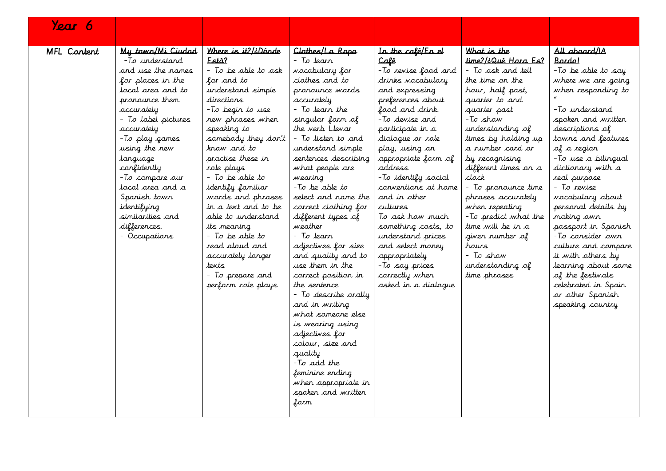| Year 6      |                                 |                                          |                                            |                             |                                        |                                   |
|-------------|---------------------------------|------------------------------------------|--------------------------------------------|-----------------------------|----------------------------------------|-----------------------------------|
|             |                                 |                                          |                                            |                             |                                        |                                   |
| MFL Content | My town/Mi Ciudad               | Where is it?/¿Dónde                      | Clothes/La Ropa                            | In the café/En el           | What is the                            | All aboard/iA                     |
|             | -To understand                  | Está?                                    | - To learn                                 | Café                        | time?/¿Qué Hara Es?                    | Bardo!                            |
|             | and use the names               | - To be able to ask                      | <i>vocabulary</i> for                      | -To revise food and         | - To ask and tell                      | -To be able to say                |
|             | for places in the               | for and to                               | clothes and to                             | drinks vocabulary           | the time on the                        | where we are going                |
|             | local area and to               | understand simple                        | pronounce words                            | and expressing              | hour, half past,                       | when responding to                |
|             | pronounce them                  | directions                               | accurately                                 | preferences about           | quarter to and                         |                                   |
|             | accurately                      | -To begin to use                         | - To learn the                             | food and drink.             | quarter past                           | -To understand                    |
|             | - To label pictures             | new phrases when                         | singular form of                           | -To devise and              | -To show                               | spoken and written                |
|             | accurately                      | speaking to                              | the verb Llevar                            | participate in a            | understanding of                       | descriptions of                   |
|             | -To play games                  | somebody they don't                      | - To lister to and                         | dialogue or role            | times by holding up                    | towns and features                |
|             | using the new                   | know and to                              | understand simple                          | play, using an              | a rumber card or                       | of a region                       |
|             | language                        | practise these in                        | sentences describing                       | appropriate form of         | by recognising                         | -To use a bilingual               |
|             | confidently                     | role plays                               | what people are                            | address                     | different times on a                   | dictionary with a                 |
|             | -To compare our                 | $-$ To be able to                        | wearing                                    | -To identify social         | clock                                  | real purpose                      |
|             | local area and a                | identify familiar                        | -To be able to                             | conventions at home         | To pronounce time                      | - To revise                       |
|             | Spanish town                    | words and phrases<br>in a text and to be | select and name the                        | and in other                | phrases accurately                     | wocabulary about                  |
|             | identifying<br>similarities and | able to understand                       | correct clothing for<br>different types of | cultures<br>To ask how much | when repeating<br>-To predict what the | personal details by               |
|             | differences.                    |                                          | weather                                    | something costs, to         | time will be in a                      | making own<br>passport in Spanish |
|             | - Occupations                   | its meaning<br>- To be able to           | - To learr                                 | understand prices           | given rumber of                        | -To consider own                  |
|             |                                 | read aloud and                           | adjectives for size                        | and select money            | hours                                  | culture and compare               |
|             |                                 | accurately longer                        | and quality and to                         | appropriately               | - To show                              | it with others by                 |
|             |                                 | texts                                    | use them in the                            | -To say prices              | understanding of                       | learning about some               |
|             |                                 | - To prepare and                         | correct position in                        | correctly when              | time phrases                           | of the festivals                  |
|             |                                 | perform role plays                       | the sentence                               | asked in a dialogue         |                                        | celebrated in Spain               |
|             |                                 |                                          | - To describe orally                       |                             |                                        | or other Spanish                  |
|             |                                 |                                          | and in writing                             |                             |                                        | speaking country                  |
|             |                                 |                                          | what someone else                          |                             |                                        |                                   |
|             |                                 |                                          | is wearing using                           |                             |                                        |                                   |
|             |                                 |                                          | adjectives for                             |                             |                                        |                                   |
|             |                                 |                                          | colour, size and                           |                             |                                        |                                   |
|             |                                 |                                          | quality                                    |                             |                                        |                                   |
|             |                                 |                                          | -To add the                                |                             |                                        |                                   |
|             |                                 |                                          | feminine ending                            |                             |                                        |                                   |
|             |                                 |                                          | when appropriate in                        |                             |                                        |                                   |
|             |                                 |                                          | spoken and written                         |                             |                                        |                                   |
|             |                                 |                                          | form                                       |                             |                                        |                                   |
|             |                                 |                                          |                                            |                             |                                        |                                   |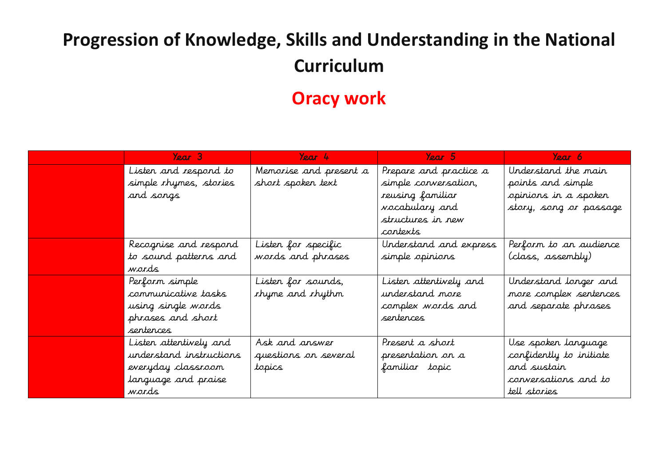## **Progression of Knowledge, Skills and Understanding in the National Curriculum**

#### **Oracy work**

| Year 3                  | Year 4                  | Year 5                 | Year 6                  |
|-------------------------|-------------------------|------------------------|-------------------------|
| Listen and respond to   | Memorise and present a  | Prepare and practice a | Understand the main     |
| simple rhymes, stories  | short spoken text       | simple conversation,   | points and simple       |
| and songs               |                         | reusing familiar       | opinions in a spoken    |
|                         |                         | <i>voc</i> abulary and | story, song or passage  |
|                         |                         | structures in new      |                         |
|                         |                         | contexts               |                         |
| Recognise and respond   | Listen for specific     | Understand and express | Perform to an audience  |
| to sound patterns and   | words and phrases       | simple opinions        | (class, assembly)       |
| wards                   |                         |                        |                         |
| Perform simple          | Listen for sounds,      | Listen attentively and | Understand longer and   |
| communicative tasks     | <i>rhyme and rhythm</i> | understand more        | more complex sentences  |
| using single words      |                         | complex words and      | and separate phrases    |
| phrases and short       |                         | sentences.             |                         |
| sentences               |                         |                        |                         |
| Listen attentively and  | Ask and answer          | Present a short        | Use spoken language     |
| understand instructions | questions on several    | presentation on a      | confidently to initiate |
| everyday classroom      | topics                  | familiar topic         | and sustain             |
| language and praise     |                         |                        | conversations and to    |
| wards                   |                         |                        | tell stories            |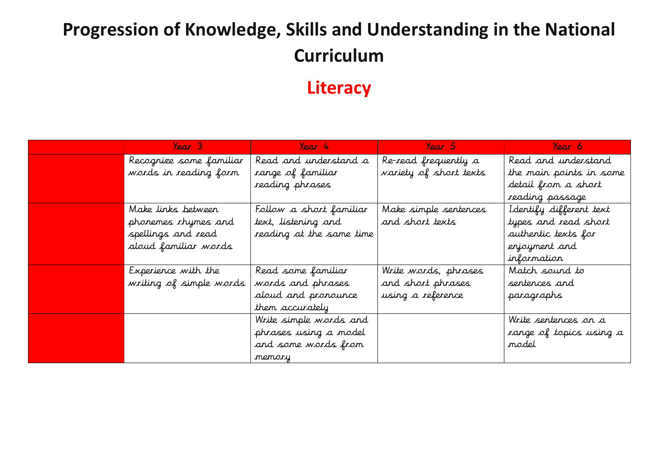## **Progression of Knowledge, Skills and Understanding in the National Curriculum**

#### **Literacy**

| Year $3$                | Year 4                   | Year 5                 | Year 6                  |
|-------------------------|--------------------------|------------------------|-------------------------|
| Recognize some familiar | Read and understand a    | Re-read frequently a   | Read and understand     |
| words in reading form   | range of familiar        | variety of short texts | the main points in some |
|                         | reading phrases          |                        | detail from a short     |
|                         |                          |                        | reading passage         |
| Make links between      | Follow a short familiar  | Make simple sentences  | Identify different text |
| phonemes rhymes and     | text, listening and      | and short texts        | types and read short    |
| spellings and read      | reading at the same time |                        | authentic texts for     |
| aloud familiar words    |                          |                        | enjoyment and           |
|                         |                          |                        | information             |
| Experience with the     | Read some familiar       | Write words, phrases   | Match sound to          |
| writing of simple words | words and phrases        | and short phrases      | sentences and           |
|                         | aloud and pronounce      | using a reference      | paragraphs              |
|                         | them accurately          |                        |                         |
|                         | Write simple words and   |                        | Write sentences on a    |
|                         | phrases using a model    |                        | range of topics using a |
|                         | and some words from      |                        | model                   |
|                         | memory                   |                        |                         |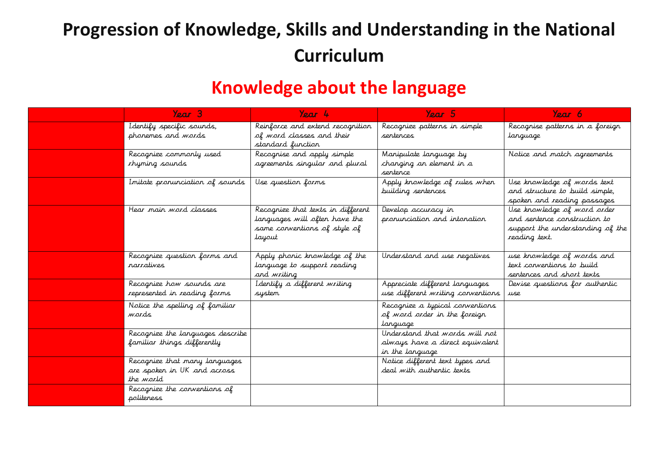#### **Progression of Knowledge, Skills and Understanding in the National Curriculum**

#### **Knowledge about the language**

| Year 3                                                                           | Year 4                                                                                                       | Year 5                                                                               | Year 6                                                                                                           |
|----------------------------------------------------------------------------------|--------------------------------------------------------------------------------------------------------------|--------------------------------------------------------------------------------------|------------------------------------------------------------------------------------------------------------------|
| I dentify specific sounds,<br>phonemes and words                                 | Reinforce and extend recognition<br>of word classes and their<br>standard function                           | Recognize patterns in simple<br>sentences                                            | Recognise patterns in a foreign<br>language                                                                      |
| Recognize commonly used<br>thyming sounds                                        | Recognise and apply simple<br>agreements singular and plural                                                 | Manipulate language by<br>changing an element in a<br>sentence                       | Notice and match agreements                                                                                      |
| Initate pronunciation of sounds                                                  | Use question forms                                                                                           | Apply knowledge of rules when<br>building sentences                                  | Use knowledge of words text<br>and structure to build simple,<br>spoken and reading passages                     |
| Hear main word classes                                                           | Recognize that texts in different<br>languages will often have the<br>same conventions of style of<br>layout | Develop accuracy in<br>pronunciation and intonation                                  | Use knowledge of word order<br>and sentence construction to<br>support the understanding of the<br>reading text. |
| Recognize question forms and<br>narratives                                       | Apply phonic knowledge of the<br>language to support reading<br>and writing                                  | Understand and use negatives                                                         | use knowledge of words and<br>text conventions to build<br>sentences and short texts                             |
| Recognize how sounds are<br>represented in reading forms                         | I dentify a different writing<br>system                                                                      | Appreciate different languages<br>use different writing conventions                  | Devise questions for authentic<br>use                                                                            |
| Notice the spelling of familiar<br>wards                                         |                                                                                                              | Recognize a typical conventions<br>of word order in the foreign<br>tanguage          |                                                                                                                  |
| Recognize the languages describe<br>familiar things differently                  |                                                                                                              | Understand that words will not<br>always have a direct equivalent<br>in the language |                                                                                                                  |
| Recognize that many languages<br>are spoken in UK and across<br>the <i>world</i> |                                                                                                              | Notice different text types and<br>deal with authentic texts                         |                                                                                                                  |
| Recognize the conventions of<br>politeness                                       |                                                                                                              |                                                                                      |                                                                                                                  |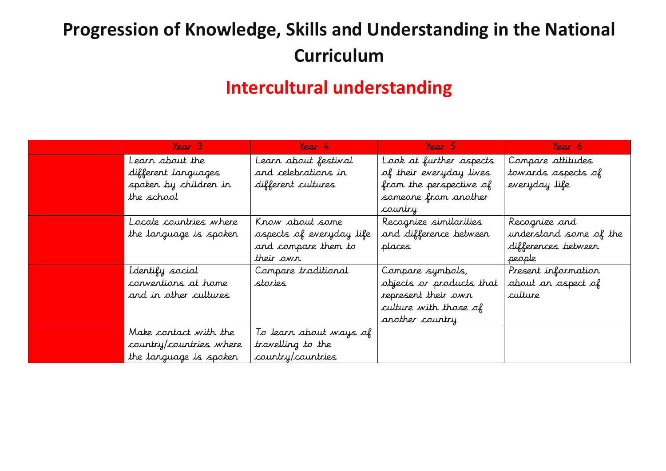## **Progression of Knowledge, Skills and Understanding in the National Curriculum**

#### **Intercultural understanding**

| Year 3                  | Year 4                   | Year 5                   | Year 6                 |
|-------------------------|--------------------------|--------------------------|------------------------|
| Learn about the         | Learn about festival     | Look at further aspects  | Compare attitudes      |
| different languages     | and celebrations in      | of their everyday lives  | towards aspects of     |
| spoken by children in   | different cultures       | from the perspective of  | everyday life          |
| the school              |                          | someone from another     |                        |
|                         |                          | country                  |                        |
| Locate countries where  | Know about some          | Recognize similarities   | Recognize and          |
| the language is spoken  | aspects of everyday life | and difference between   | understand some of the |
|                         | and compare them to      | places                   | differences between    |
|                         | their own                |                          | people                 |
| I dentify social        | Compare traditional      | Compare symbols,         | Present information    |
| conventions at home     | stories                  | objects or products that | about an aspect of     |
| and in other cultures   |                          | represent their own      | culture                |
|                         |                          | culture with those of    |                        |
|                         |                          | another country          |                        |
| Make contact with the   | To learn about ways of   |                          |                        |
| country/countries where | travelling to the        |                          |                        |
| the language is spoken  | country/countries        |                          |                        |